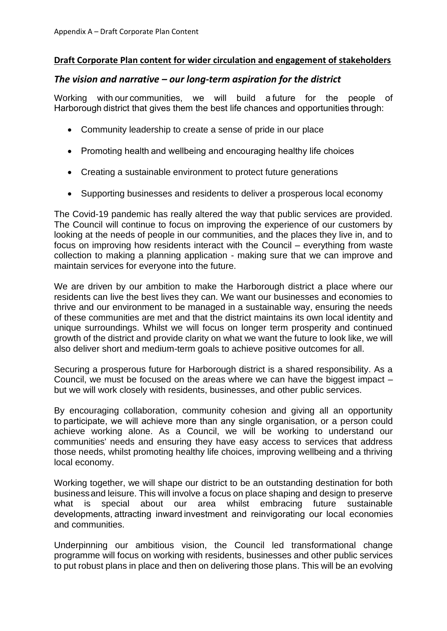#### **Draft Corporate Plan content for wider circulation and engagement of stakeholders**

#### *The vision and narrative – our long-term aspiration for the district*

Working with our communities, we will build a future for the people of Harborough district that gives them the best life chances and opportunities through: 

- Community leadership to create a sense of pride in our place
- Promoting health and wellbeing and encouraging healthy life choices
- Creating a sustainable environment to protect future generations
- Supporting businesses and residents to deliver a prosperous local economy

The Covid-19 pandemic has really altered the way that public services are provided. The Council will continue to focus on improving the experience of our customers by looking at the needs of people in our communities, and the places they live in, and to focus on improving how residents interact with the Council – everything from waste collection to making a planning application - making sure that we can improve and maintain services for everyone into the future.

We are driven by our ambition to make the Harborough district a place where our residents can live the best lives they can. We want our businesses and economies to thrive and our environment to be managed in a sustainable way, ensuring the needs of these communities are met and that the district maintains its own local identity and unique surroundings. Whilst we will focus on longer term prosperity and continued growth of the district and provide clarity on what we want the future to look like, we will also deliver short and medium-term goals to achieve positive outcomes for all.

Securing a prosperous future for Harborough district is a shared responsibility. As a Council, we must be focused on the areas where we can have the biggest impact – but we will work closely with residents, businesses, and other public services.

By encouraging collaboration, community cohesion and giving all an opportunity to participate, we will achieve more than any single organisation, or a person could achieve working alone. As a Council, we will be working to understand our communities' needs and ensuring they have easy access to services that address those needs, whilst promoting healthy life choices, improving wellbeing and a thriving local economy.

Working together, we will shape our district to be an outstanding destination for both businessand leisure. This will involve a focus on place shaping and design to preserve what is special about our area whilst embracing future sustainable developments, attracting inward investment and reinvigorating our local economies and communities.

Underpinning our ambitious vision, the Council led transformational change programme will focus on working with residents, businesses and other public services to put robust plans in place and then on delivering those plans. This will be an evolving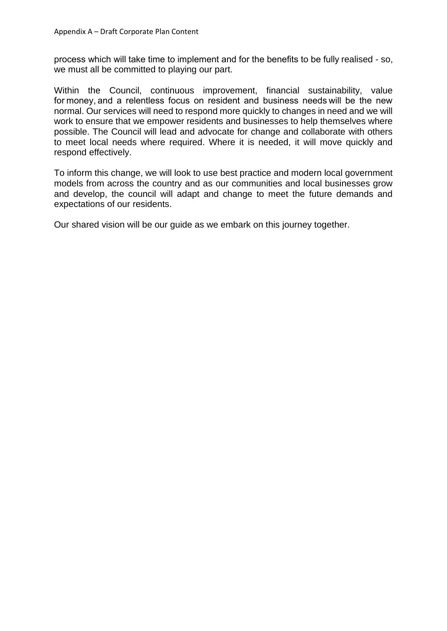process which will take time to implement and for the benefits to be fully realised - so, we must all be committed to playing our part.

Within the Council, continuous improvement, financial sustainability, value for money, and a relentless focus on resident and business needs will be the new normal. Our services will need to respond more quickly to changes in need and we will work to ensure that we empower residents and businesses to help themselves where possible. The Council will lead and advocate for change and collaborate with others to meet local needs where required. Where it is needed, it will move quickly and respond effectively.

To inform this change, we will look to use best practice and modern local government models from across the country and as our communities and local businesses grow and develop, the council will adapt and change to meet the future demands and expectations of our residents.

Our shared vision will be our guide as we embark on this journey together.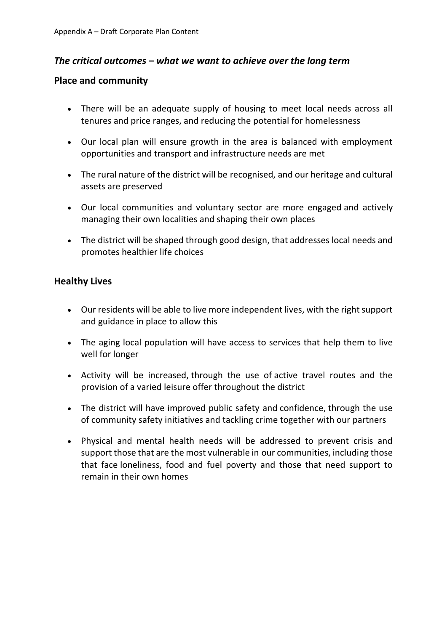# *The critical outcomes – what we want to achieve over the long term*

## **Place and community**

- There will be an adequate supply of housing to meet local needs across all tenures and price ranges, and reducing the potential for homelessness
- Our local plan will ensure growth in the area is balanced with employment opportunities and transport and infrastructure needs are met
- The rural nature of the district will be recognised, and our heritage and cultural assets are preserved
- Our local communities and voluntary sector are more engaged and actively managing their own localities and shaping their own places
- The district will be shaped through good design, that addresses local needs and promotes healthier life choices

# **Healthy Lives**

- Our residents will be able to live more independent lives, with the right support and guidance in place to allow this
- The aging local population will have access to services that help them to live well for longer
- Activity will be increased, through the use of active travel routes and the provision of a varied leisure offer throughout the district
- The district will have improved public safety and confidence, through the use of community safety initiatives and tackling crime together with our partners
- Physical and mental health needs will be addressed to prevent crisis and support those that are the most vulnerable in our communities, including those that face loneliness, food and fuel poverty and those that need support to remain in their own homes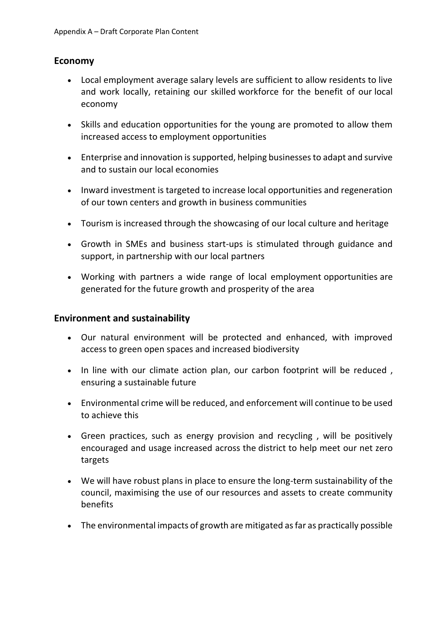## **Economy**

- Local employment average salary levels are sufficient to allow residents to live and work locally, retaining our skilled workforce for the benefit of our local economy
- Skills and education opportunities for the young are promoted to allow them increased access to employment opportunities
- Enterprise and innovation is supported, helping businesses to adapt and survive and to sustain our local economies
- Inward investment is targeted to increase local opportunities and regeneration of our town centers and growth in business communities
- Tourism is increased through the showcasing of our local culture and heritage
- Growth in SMEs and business start-ups is stimulated through guidance and support, in partnership with our local partners
- Working with partners a wide range of local employment opportunities are generated for the future growth and prosperity of the area

#### **Environment and sustainability**

- Our natural environment will be protected and enhanced, with improved access to green open spaces and increased biodiversity
- In line with our climate action plan, our carbon footprint will be reduced, ensuring a sustainable future
- Environmental crime will be reduced, and enforcement will continue to be used to achieve this
- Green practices, such as energy provision and recycling , will be positively encouraged and usage increased across the district to help meet our net zero targets
- We will have robust plans in place to ensure the long-term sustainability of the council, maximising the use of our resources and assets to create community benefits
- The environmental impacts of growth are mitigated as far as practically possible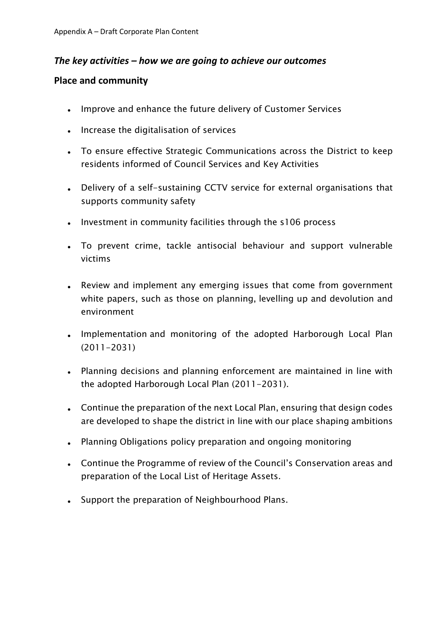# *The key activities – how we are going to achieve our outcomes*

## **Place and community**

- Improve and enhance the future delivery of Customer Services
- Increase the digitalisation of services
- To ensure effective Strategic Communications across the District to keep residents informed of Council Services and Key Activities
- Delivery of a self-sustaining CCTV service for external organisations that supports community safety
- Investment in community facilities through the s106 process
- To prevent crime, tackle antisocial behaviour and support vulnerable victims
- Review and implement any emerging issues that come from government white papers, such as those on planning, levelling up and devolution and environment
- Implementation and monitoring of the adopted Harborough Local Plan (2011-2031)
- Planning decisions and planning enforcement are maintained in line with the adopted Harborough Local Plan (2011-2031).
- Continue the preparation of the next Local Plan, ensuring that design codes are developed to shape the district in line with our place shaping ambitions
- Planning Obligations policy preparation and ongoing monitoring
- Continue the Programme of review of the Council's Conservation areas and preparation of the Local List of Heritage Assets.
- Support the preparation of Neighbourhood Plans.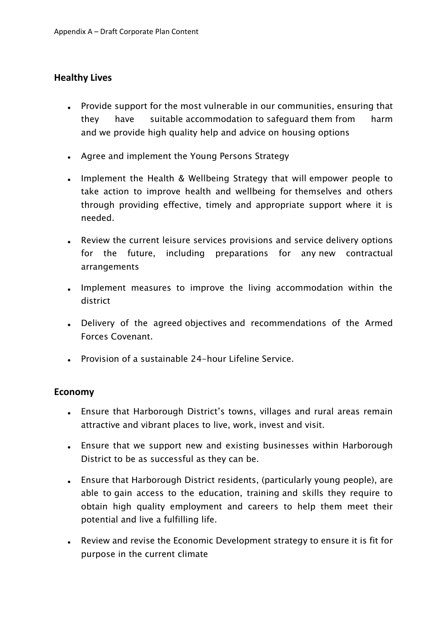## **Healthy Lives**

- Provide support for the most vulnerable in our communities, ensuring that they have suitable accommodation to safeguard them from harm and we provide high quality help and advice on housing options
- Agree and implement the Young Persons Strategy
- Implement the Health & Wellbeing Strategy that will empower people to take action to improve health and wellbeing for themselves and others through providing effective, timely and appropriate support where it is needed.
- Review the current leisure services provisions and service delivery options for the future, including preparations for any new contractual arrangements
- Implement measures to improve the living accommodation within the district
- Delivery of the agreed objectives and recommendations of the Armed Forces Covenant.
- Provision of a sustainable 24-hour Lifeline Service.

### **Economy**

- Ensure that Harborough District's towns, villages and rural areas remain attractive and vibrant places to live, work, invest and visit.
- Ensure that we support new and existing businesses within Harborough District to be as successful as they can be.
- Ensure that Harborough District residents, (particularly young people), are able to gain access to the education, training and skills they require to obtain high quality employment and careers to help them meet their potential and live a fulfilling life.
- Review and revise the Economic Development strategy to ensure it is fit for purpose in the current climate